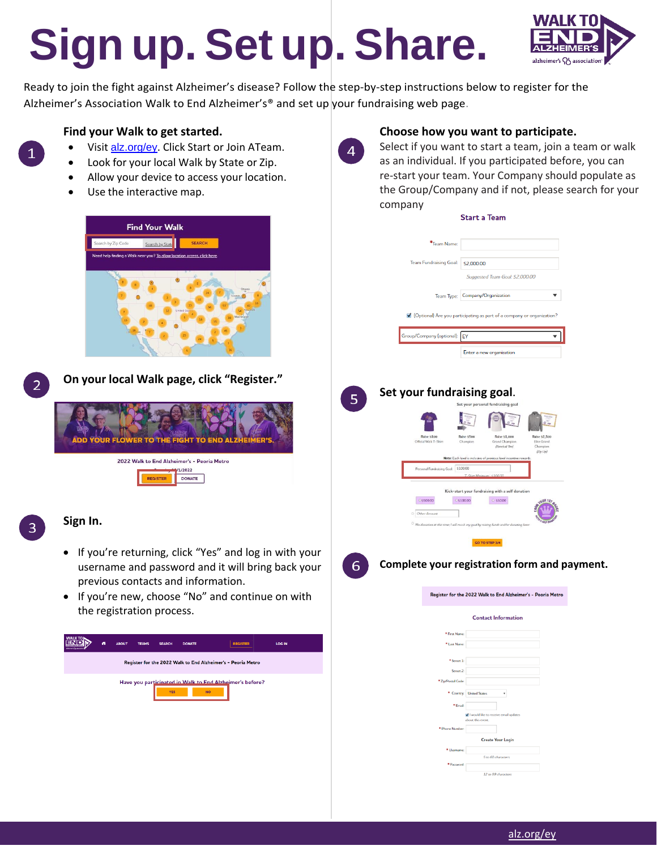# **Sign up. Set up. Share.**



Ready to join the fight against Alzheimer's disease? Follow the step-by-step instructions below to register for the Alzheimer's Association Walk to End Alzheimer's® and set up your fundraising web page.

## **Find your Walk to get started.**

- Visit <alz.org/ey>. Click Start or Join ATeam.
- Look for your local Walk by State or Zip.
- Allow your device to access your location.
- Use the interactive map.





**On your local Walk page, click "Register."**



## **Sign In.**

- If you're returning, click "Yes" and log in with your username and password and it will bring back your previous contacts and information.
- If you're new, choose "No" and continue on with the registration process.





 $\overline{4}$ 

### **Choose how you want to participate.**

Select if you want to start a team, join a team or walk as an individual. If you participated before, you can re-start your team. Your Company should populate as the Group/Company and if not, please search for your company **Start a Team** 

|   | *Team Name:                                  |                                                                                      |                                     |
|---|----------------------------------------------|--------------------------------------------------------------------------------------|-------------------------------------|
|   | Team Fundraising Goal:                       | \$2,000.00                                                                           |                                     |
|   |                                              | Suggested Team Goal: \$2,000.00                                                      |                                     |
|   |                                              | Team Type: Company/Organization                                                      | ▼                                   |
|   |                                              |                                                                                      |                                     |
|   |                                              | • (Optional) Are you participating as part of a company or organization?             |                                     |
|   | Group/Company (optional): EY                 |                                                                                      | $\overline{\mathbf{v}}$             |
|   |                                              | Enter a new organization                                                             |                                     |
|   |                                              |                                                                                      |                                     |
|   | Set your fundraising goal.                   |                                                                                      |                                     |
| 5 |                                              | Set your personal fundraising goal                                                   |                                     |
|   |                                              |                                                                                      |                                     |
|   | Raise \$100<br>Rain<br>Official Walk T-Shirt | <b>Raise \$1,000</b><br>e \$500<br>Champion<br>Grand Champion                        | <b>Raise \$2,500</b><br>Elite Grand |
|   |                                              | (Baseball Tee)<br>Note: Each level is inclusive of previous level incentive rewar    | Champ<br>(Zp Up)                    |
|   | Personal Fundraising Goal: \$100.00          |                                                                                      |                                     |
|   |                                              |                                                                                      |                                     |
|   | C\$500.00<br>C \$100.00                      | Kick-start your fundraising with a self donation<br>0 550.00                         |                                     |
|   | O Other Amount                               |                                                                                      |                                     |
|   |                                              | No donation at this time; I will reach my goal by raising funds and/or donating late |                                     |
|   |                                              | GO TO STEP 3/4                                                                       |                                     |
| 6 | Complete your registration form and payment. |                                                                                      |                                     |
|   |                                              |                                                                                      |                                     |
|   |                                              | Register for the 2022 Walk to End Alzheimer's - Peoria Metro                         |                                     |
|   |                                              |                                                                                      |                                     |
|   |                                              | <b>Contact Information</b>                                                           |                                     |
|   | <sup>*</sup> First Name:<br>* Last Name:     |                                                                                      |                                     |
|   | $\blacksquare$ Street 1:                     |                                                                                      |                                     |
|   | Street 2:                                    |                                                                                      |                                     |
|   | * Zip/Postal Code:                           |                                                                                      |                                     |
|   |                                              | * Country: United States<br>۰                                                        |                                     |
|   | $*$ Email:                                   |                                                                                      |                                     |
|   |                                              | V I would like to receive email updates<br>about this event                          |                                     |
|   | * Phone Number:                              | <b>Create Your Login</b>                                                             |                                     |
|   | * Username:                                  | 5 to 60 characters                                                                   |                                     |
|   | * Password:                                  |                                                                                      |                                     |
|   |                                              | 12 to 99 characters                                                                  |                                     |